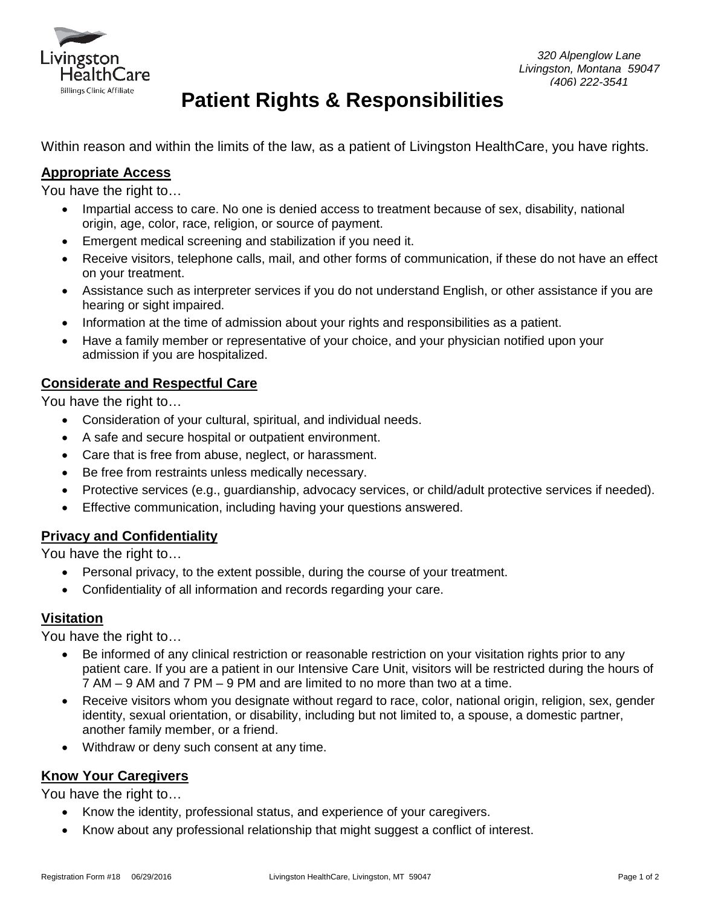

# **Patient Rights & Responsibilities**

Within reason and within the limits of the law, as a patient of Livingston HealthCare, you have rights.

# **Appropriate Access**

You have the right to…

- Impartial access to care. No one is denied access to treatment because of sex, disability, national origin, age, color, race, religion, or source of payment.
- Emergent medical screening and stabilization if you need it.
- Receive visitors, telephone calls, mail, and other forms of communication, if these do not have an effect on your treatment.
- Assistance such as interpreter services if you do not understand English, or other assistance if you are hearing or sight impaired.
- Information at the time of admission about your rights and responsibilities as a patient.
- Have a family member or representative of your choice, and your physician notified upon your admission if you are hospitalized.

# **Considerate and Respectful Care**

You have the right to…

- Consideration of your cultural, spiritual, and individual needs.
- A safe and secure hospital or outpatient environment.
- Care that is free from abuse, neglect, or harassment.
- Be free from restraints unless medically necessary.
- Protective services (e.g., guardianship, advocacy services, or child/adult protective services if needed).
- Effective communication, including having your questions answered.

# **Privacy and Confidentiality**

You have the right to…

- Personal privacy, to the extent possible, during the course of your treatment.
- Confidentiality of all information and records regarding your care.

# **Visitation**

You have the right to…

- Be informed of any clinical restriction or reasonable restriction on your visitation rights prior to any patient care. If you are a patient in our Intensive Care Unit, visitors will be restricted during the hours of 7 AM – 9 AM and 7 PM – 9 PM and are limited to no more than two at a time.
- Receive visitors whom you designate without regard to race, color, national origin, religion, sex, gender identity, sexual orientation, or disability, including but not limited to, a spouse, a domestic partner, another family member, or a friend.
- Withdraw or deny such consent at any time.

# **Know Your Caregivers**

You have the right to…

- Know the identity, professional status, and experience of your caregivers.
- Know about any professional relationship that might suggest a conflict of interest.